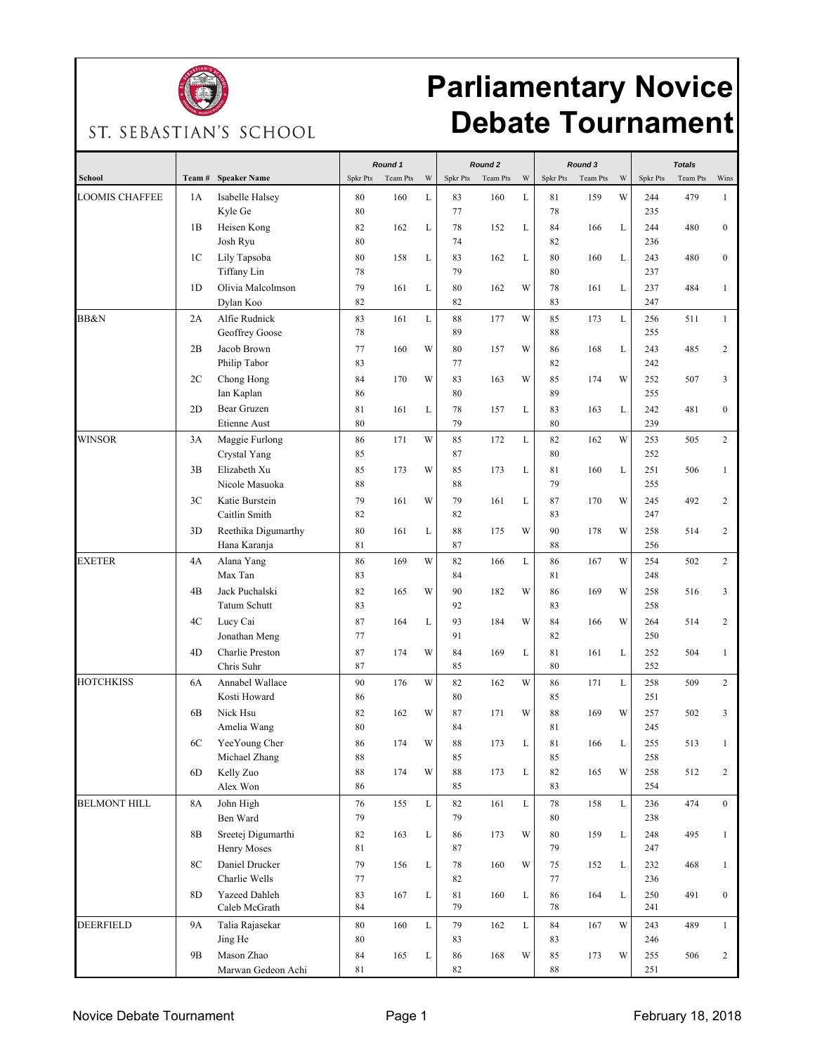

## **Parliamentary Novice Debate Tournament**

ST. SEBASTIAN'S SCHOOL

|                       |                |                                    | Round 1         |          |             | Round <sub>2</sub> |          |             | Round 3         |          |   | <b>Totals</b> |          |                  |
|-----------------------|----------------|------------------------------------|-----------------|----------|-------------|--------------------|----------|-------------|-----------------|----------|---|---------------|----------|------------------|
| School                | Team#          | <b>Speaker Name</b>                | <b>Spkr Pts</b> | Team Pts | W           | <b>Spkr Pts</b>    | Team Pts | W           | <b>Spkr Pts</b> | Team Pts | W | Spkr Pts      | Team Pts | Wins             |
| <b>LOOMIS CHAFFEE</b> | 1A             | Isabelle Halsey                    | 80              | 160      | L           | 83                 | 160      | L           | 81              | 159      | W | 244           | 479      | $\mathbf{1}$     |
|                       |                | Kyle Ge                            | 80              |          |             | 77                 |          |             | 78              |          |   | 235           |          |                  |
|                       | 1B             | Heisen Kong<br>Josh Ryu            | 82<br>80        | 162      | L           | 78<br>74           | 152      | L           | 84<br>82        | 166      | L | 244<br>236    | 480      | $\bf{0}$         |
|                       |                |                                    |                 |          |             |                    |          |             |                 |          |   |               |          |                  |
|                       | 1 <sup>C</sup> | Lily Tapsoba<br><b>Tiffany Lin</b> | 80<br>78        | 158      | L           | 83<br>79           | 162      | L           | 80<br>80        | 160      | L | 243<br>237    | 480      | $\boldsymbol{0}$ |
|                       | 1D             | Olivia Malcolmson                  | 79              | 161      | L           | 80                 | 162      | W           | 78              | 161      | L | 237           | 484      | $\mathbf{1}$     |
|                       |                | Dylan Koo                          | 82              |          |             | 82                 |          |             | 83              |          |   | 247           |          |                  |
| BB&N                  | 2A             | Alfie Rudnick                      | 83              | 161      | L           | 88                 | 177      | W           | 85              | 173      | L | 256           | 511      | $\mathbf{1}$     |
|                       |                | Geoffrey Goose                     | 78              |          |             | 89                 |          |             | 88              |          |   | 255           |          |                  |
|                       | 2B             | Jacob Brown                        | 77              | 160      | W           | 80                 | 157      | W           | 86              | 168      | L | 243           | 485      | 2                |
|                       |                | Philip Tabor                       | 83              |          |             | 77                 |          |             | 82              |          |   | 242           |          |                  |
|                       | 2C             | Chong Hong                         | 84              | 170      | W           | 83                 | 163      | W           | 85              | 174      | W | 252           | 507      | 3                |
|                       |                | Ian Kaplan                         | 86              |          |             | 80                 |          |             | 89              |          |   | 255           |          |                  |
|                       | 2D             | Bear Gruzen                        | 81              | 161      | L           | 78                 | 157      | L           | 83              | 163      | L | 242           | 481      | $\boldsymbol{0}$ |
|                       |                | Etienne Aust                       | 80              |          |             | 79                 |          |             | 80              |          |   | 239           |          |                  |
| WINSOR                | 3A             | Maggie Furlong                     | 86              | 171      | W           | 85                 | 172      | L           | 82              | 162      | W | 253           | 505      | $\overline{c}$   |
|                       |                | Crystal Yang                       | 85              |          |             | 87                 |          |             | 80              |          |   | 252           |          |                  |
|                       | 3B             | Elizabeth Xu                       | 85              | 173      | W           | 85                 | 173      | L           | 81              | 160      | L | 251           | 506      | $\mathbf{1}$     |
|                       |                | Nicole Masuoka                     | 88              |          |             | 88                 |          |             | 79              |          |   | 255           |          |                  |
|                       | 3 <sup>C</sup> | Katie Burstein                     | 79              | 161      | W           | 79                 | 161      | L           | 87              | 170      | W | 245           | 492      | 2                |
|                       |                | Caitlin Smith                      | 82              |          |             | 82                 |          |             | 83              |          |   | 247           |          |                  |
|                       | 3D             | Reethika Digumarthy                | 80              | 161      | L           | 88                 | 175      | W           | 90              | 178      | W | 258           | 514      | 2                |
|                       |                | Hana Karanja                       | 81              |          |             | 87                 |          |             | 88              |          |   | 256           |          |                  |
| <b>EXETER</b>         | 4A             | Alana Yang                         | 86              | 169      | W           | 82                 | 166      | L           | 86              | 167      | W | 254           | 502      | $\overline{c}$   |
|                       |                | Max Tan                            | 83              |          |             | 84                 |          |             | 81              |          |   | 248           |          |                  |
|                       | 4B             | Jack Puchalski                     | 82              | 165      | W           | 90                 | 182      | W           | 86              | 169      | W | 258           | 516      | 3                |
|                       |                | <b>Tatum Schutt</b>                | 83              |          |             | 92                 |          |             | 83              |          |   | 258           |          |                  |
|                       | 4C             | Lucy Cai                           | 87              | 164      | L           | 93                 | 184      | W           | 84              | 166      | W | 264           | 514      | 2                |
|                       |                | Jonathan Meng                      | 77              |          |             | 91                 |          |             | 82              |          |   | 250           |          |                  |
|                       | 4D             | Charlie Preston                    | 87              | 174      | W           | 84                 | 169      | L           | 81              | 161      | L | 252           | 504      | $\mathbf{1}$     |
|                       |                | Chris Suhr                         | 87              |          |             | 85                 |          |             | 80              |          |   | 252           |          |                  |
| <b>HOTCHKISS</b>      | 6A             | Annabel Wallace                    | 90              | 176      | W           | 82                 | 162      | W           | 86              | 171      | L | 258           | 509      | $\overline{c}$   |
|                       |                | Kosti Howard                       | 86              |          |             | 80                 |          |             | 85              |          |   | 251           |          |                  |
|                       | 6B             | Nick Hsu                           | 82              | 162      | W           | 87                 | 171      | W           | 88              | 169      | W | 257           | 502      | 3                |
|                       |                | Amelia Wang                        | 80              |          |             | 84                 |          |             | 81              |          |   | 245           |          |                  |
|                       | 6C             | YeeYoung Cher                      | 86              | 174      | W           | 88                 | 173      | L           | 81              | 166      | L | 255           | 513      | 1                |
|                       |                | Michael Zhang                      | 88              |          |             | 85                 |          |             | 85              |          |   | 258           |          |                  |
|                       | 6D             | Kelly Zuo                          | 88              | 174      | W           | 88                 | 173      | L           | 82              | 165      | W | 258           | 512      | $\overline{c}$   |
|                       |                | Alex Won                           | 86              |          |             | 85                 |          |             | 83              |          |   | 254           |          |                  |
| <b>BELMONT HILL</b>   | 8A             | John High                          | 76              | 155      | $\mathbf L$ | 82                 | 161      | L           | 78              | 158      | L | 236           | 474      | $\overline{0}$   |
|                       |                | Ben Ward                           | 79              |          |             | 79                 |          |             | 80              |          |   | 238           |          |                  |
|                       | 8B             | Sreetej Digumarthi                 | 82              | 163      | L           | 86                 | 173      | W           | 80              | 159      | L | 248           | 495      | $\mathbf{1}$     |
|                       |                | Henry Moses                        | 81              |          |             | 87                 |          |             | 79              |          |   | 247           |          |                  |
|                       | 8C             | Daniel Drucker                     | 79              | 156      | L           | 78                 | 160      | W           | 75              | 152      | L | 232           | 468      | $\mathbf{1}$     |
|                       |                | Charlie Wells                      | 77              |          |             | 82                 |          |             | 77              |          |   | 236           |          |                  |
|                       | 8D             | Yazeed Dahleh<br>Caleb McGrath     | 83<br>84        | 167      | L           | 81<br>79           | 160      | L           | 86<br>78        | 164      | L | 250<br>241    | 491      | $\overline{0}$   |
|                       |                |                                    |                 |          |             |                    |          |             |                 |          |   |               |          |                  |
| DEERFIELD             | <b>9A</b>      | Talia Rajasekar                    | 80              | 160      | L           | 79                 | 162      | $\mathbf L$ | 84              | 167      | W | 243           | 489      | $\mathbf{1}$     |
|                       | 9B             | Jing He<br>Mason Zhao              | 80              |          | L           | 83                 |          | W           | 83              |          | W | 246<br>255    |          |                  |
|                       |                | Marwan Gedeon Achi                 | 84<br>81        | 165      |             | 86<br>82           | 168      |             | 85<br>88        | 173      |   | 251           | 506      | $\overline{c}$   |
|                       |                |                                    |                 |          |             |                    |          |             |                 |          |   |               |          |                  |